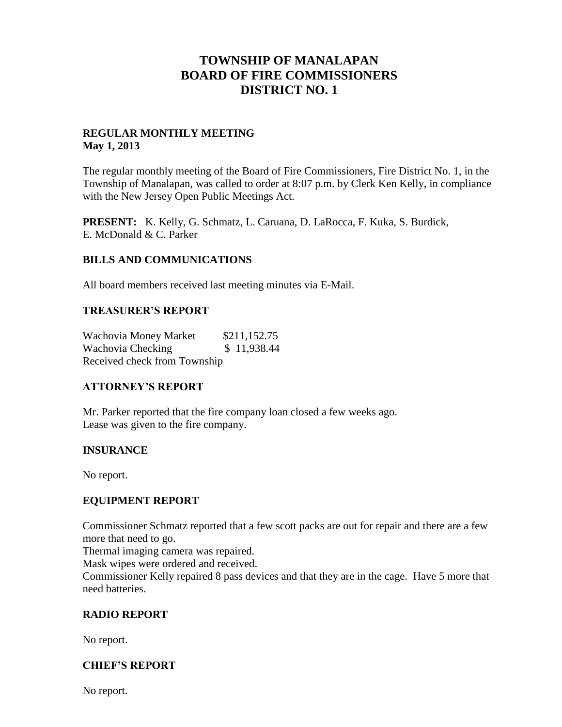# **TOWNSHIP OF MANALAPAN BOARD OF FIRE COMMISSIONERS DISTRICT NO. 1**

#### **REGULAR MONTHLY MEETING May 1, 2013**

The regular monthly meeting of the Board of Fire Commissioners, Fire District No. 1, in the Township of Manalapan, was called to order at 8:07 p.m. by Clerk Ken Kelly, in compliance with the New Jersey Open Public Meetings Act.

**PRESENT:** K. Kelly, G. Schmatz, L. Caruana, D. LaRocca, F. Kuka, S. Burdick, E. McDonald & C. Parker

#### **BILLS AND COMMUNICATIONS**

All board members received last meeting minutes via E-Mail.

#### **TREASURER'S REPORT**

Wachovia Money Market \$211,152.75 Wachovia Checking  $$ 11,938.44$ Received check from Township

## **ATTORNEY'S REPORT**

Mr. Parker reported that the fire company loan closed a few weeks ago. Lease was given to the fire company.

## **INSURANCE**

No report.

## **EQUIPMENT REPORT**

Commissioner Schmatz reported that a few scott packs are out for repair and there are a few more that need to go.

Thermal imaging camera was repaired.

Mask wipes were ordered and received.

Commissioner Kelly repaired 8 pass devices and that they are in the cage. Have 5 more that need batteries.

## **RADIO REPORT**

No report.

## **CHIEF'S REPORT**

No report.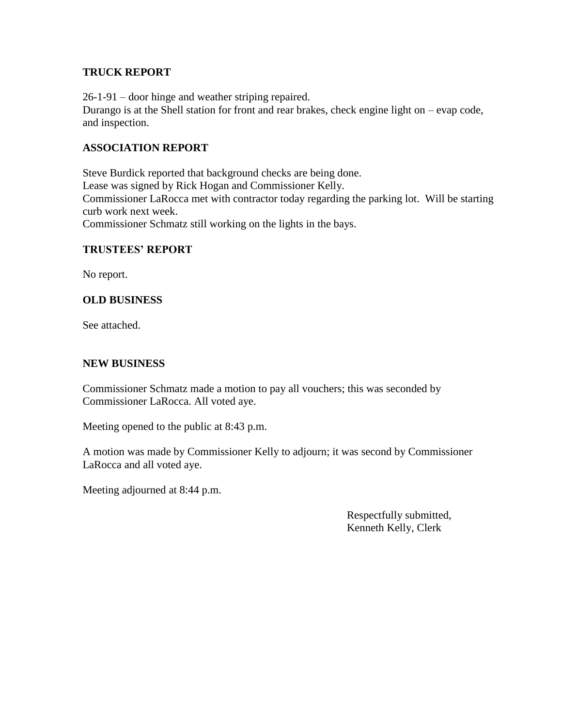#### **TRUCK REPORT**

26-1-91 – door hinge and weather striping repaired.

Durango is at the Shell station for front and rear brakes, check engine light on – evap code, and inspection.

#### **ASSOCIATION REPORT**

Steve Burdick reported that background checks are being done. Lease was signed by Rick Hogan and Commissioner Kelly. Commissioner LaRocca met with contractor today regarding the parking lot. Will be starting curb work next week. Commissioner Schmatz still working on the lights in the bays.

#### **TRUSTEES' REPORT**

No report.

#### **OLD BUSINESS**

See attached.

#### **NEW BUSINESS**

Commissioner Schmatz made a motion to pay all vouchers; this was seconded by Commissioner LaRocca. All voted aye.

Meeting opened to the public at 8:43 p.m.

A motion was made by Commissioner Kelly to adjourn; it was second by Commissioner LaRocca and all voted aye.

Meeting adjourned at 8:44 p.m.

 Respectfully submitted, Kenneth Kelly, Clerk